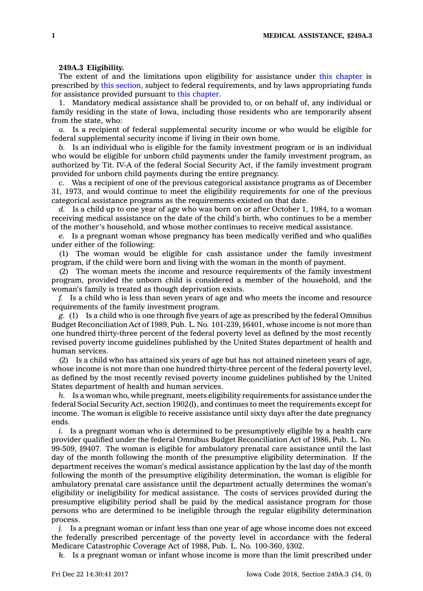## **249A.3 Eligibility.**

The extent of and the limitations upon eligibility for assistance under this [chapter](https://www.legis.iowa.gov/docs/code//249A.pdf) is prescribed by this [section](https://www.legis.iowa.gov/docs/code/249A.3.pdf), subject to federal requirements, and by laws appropriating funds for assistance provided pursuant to this [chapter](https://www.legis.iowa.gov/docs/code//249A.pdf).

1. Mandatory medical assistance shall be provided to, or on behalf of, any individual or family residing in the state of Iowa, including those residents who are temporarily absent from the state, who:

*a.* Is <sup>a</sup> recipient of federal supplemental security income or who would be eligible for federal supplemental security income if living in their own home.

*b.* Is an individual who is eligible for the family investment program or is an individual who would be eligible for unborn child payments under the family investment program, as authorized by Tit. IV-A of the federal Social Security Act, if the family investment program provided for unborn child payments during the entire pregnancy.

*c.* Was <sup>a</sup> recipient of one of the previous categorical assistance programs as of December 31, 1973, and would continue to meet the eligibility requirements for one of the previous categorical assistance programs as the requirements existed on that date.

*d.* Is <sup>a</sup> child up to one year of age who was born on or after October 1, 1984, to <sup>a</sup> woman receiving medical assistance on the date of the child's birth, who continues to be <sup>a</sup> member of the mother's household, and whose mother continues to receive medical assistance.

*e.* Is <sup>a</sup> pregnant woman whose pregnancy has been medically verified and who qualifies under either of the following:

(1) The woman would be eligible for cash assistance under the family investment program, if the child were born and living with the woman in the month of payment.

(2) The woman meets the income and resource requirements of the family investment program, provided the unborn child is considered <sup>a</sup> member of the household, and the woman's family is treated as though deprivation exists.

*f.* Is <sup>a</sup> child who is less than seven years of age and who meets the income and resource requirements of the family investment program.

*g.* (1) Is <sup>a</sup> child who is one through five years of age as prescribed by the federal Omnibus Budget Reconciliation Act of 1989, Pub. L. No. 101-239, §6401, whose income is not more than one hundred thirty-three percent of the federal poverty level as defined by the most recently revised poverty income guidelines published by the United States department of health and human services.

(2) Is <sup>a</sup> child who has attained six years of age but has not attained nineteen years of age, whose income is not more than one hundred thirty-three percent of the federal poverty level, as defined by the most recently revised poverty income guidelines published by the United States department of health and human services.

*h.* Is <sup>a</sup> woman who, while pregnant, meets eligibility requirements for assistance under the federal Social Security Act, section 1902(l), and continues to meet the requirements except for income. The woman is eligible to receive assistance until sixty days after the date pregnancy ends.

*i.* Is <sup>a</sup> pregnant woman who is determined to be presumptively eligible by <sup>a</sup> health care provider qualified under the federal Omnibus Budget Reconciliation Act of 1986, Pub. L. No. 99-509, §9407. The woman is eligible for ambulatory prenatal care assistance until the last day of the month following the month of the presumptive eligibility determination. If the department receives the woman's medical assistance application by the last day of the month following the month of the presumptive eligibility determination, the woman is eligible for ambulatory prenatal care assistance until the department actually determines the woman's eligibility or ineligibility for medical assistance. The costs of services provided during the presumptive eligibility period shall be paid by the medical assistance program for those persons who are determined to be ineligible through the regular eligibility determination process.

*j.* Is a pregnant woman or infant less than one year of age whose income does not exceed the federally prescribed percentage of the poverty level in accordance with the federal Medicare Catastrophic Coverage Act of 1988, Pub. L. No. 100-360, §302.

*k.* Is <sup>a</sup> pregnant woman or infant whose income is more than the limit prescribed under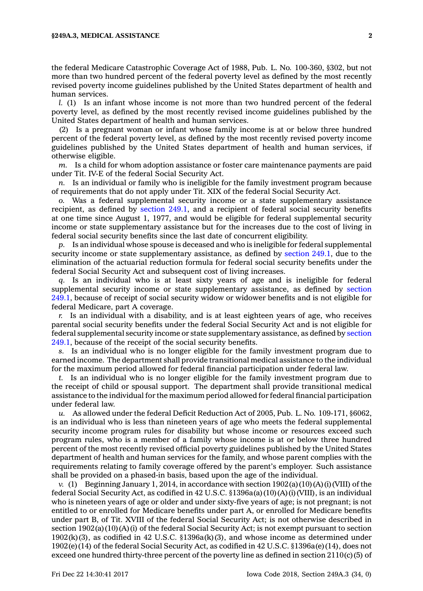the federal Medicare Catastrophic Coverage Act of 1988, Pub. L. No. 100-360, §302, but not more than two hundred percent of the federal poverty level as defined by the most recently revised poverty income guidelines published by the United States department of health and human services.

*l.* (1) Is an infant whose income is not more than two hundred percent of the federal poverty level, as defined by the most recently revised income guidelines published by the United States department of health and human services.

(2) Is <sup>a</sup> pregnant woman or infant whose family income is at or below three hundred percent of the federal poverty level, as defined by the most recently revised poverty income guidelines published by the United States department of health and human services, if otherwise eligible.

*m.* Is <sup>a</sup> child for whom adoption assistance or foster care maintenance payments are paid under Tit. IV-E of the federal Social Security Act.

*n.* Is an individual or family who is ineligible for the family investment program because of requirements that do not apply under Tit. XIX of the federal Social Security Act.

*o.* Was <sup>a</sup> federal supplemental security income or <sup>a</sup> state supplementary assistance recipient, as defined by [section](https://www.legis.iowa.gov/docs/code/249.1.pdf) 249.1, and <sup>a</sup> recipient of federal social security benefits at one time since August 1, 1977, and would be eligible for federal supplemental security income or state supplementary assistance but for the increases due to the cost of living in federal social security benefits since the last date of concurrent eligibility.

*p.* Is an individual whose spouse is deceased and who is ineligible for federal supplemental security income or state supplementary assistance, as defined by [section](https://www.legis.iowa.gov/docs/code/249.1.pdf) 249.1, due to the elimination of the actuarial reduction formula for federal social security benefits under the federal Social Security Act and subsequent cost of living increases.

*q.* Is an individual who is at least sixty years of age and is ineligible for federal supplemental security income or state supplementary assistance, as defined by [section](https://www.legis.iowa.gov/docs/code/249.1.pdf) [249.1](https://www.legis.iowa.gov/docs/code/249.1.pdf), because of receipt of social security widow or widower benefits and is not eligible for federal Medicare, part A coverage.

*r.* Is an individual with <sup>a</sup> disability, and is at least eighteen years of age, who receives parental social security benefits under the federal Social Security Act and is not eligible for federal supplemental security income or state supplementary assistance, as defined by [section](https://www.legis.iowa.gov/docs/code/249.1.pdf) [249.1](https://www.legis.iowa.gov/docs/code/249.1.pdf), because of the receipt of the social security benefits.

*s.* Is an individual who is no longer eligible for the family investment program due to earned income. The department shall provide transitional medical assistance to the individual for the maximum period allowed for federal financial participation under federal law.

*t.* Is an individual who is no longer eligible for the family investment program due to the receipt of child or spousal support. The department shall provide transitional medical assistance to the individual for the maximum period allowed for federal financial participation under federal law.

*u.* As allowed under the federal Deficit Reduction Act of 2005, Pub. L. No. 109-171, §6062, is an individual who is less than nineteen years of age who meets the federal supplemental security income program rules for disability but whose income or resources exceed such program rules, who is <sup>a</sup> member of <sup>a</sup> family whose income is at or below three hundred percent of the most recently revised official poverty guidelines published by the United States department of health and human services for the family, and whose parent complies with the requirements relating to family coverage offered by the parent's employer. Such assistance shall be provided on <sup>a</sup> phased-in basis, based upon the age of the individual.

*v.* (1) Beginning January 1, 2014, in accordance with section 1902(a)(10)(A)(i)(VIII) of the federal Social Security Act, as codified in 42 U.S.C. §1396a(a)(10)(A)(i)(VIII), is an individual who is nineteen years of age or older and under sixty-five years of age; is not pregnant; is not entitled to or enrolled for Medicare benefits under part A, or enrolled for Medicare benefits under part B, of Tit. XVIII of the federal Social Security Act; is not otherwise described in section  $1902(a)(10)(A)(i)$  of the federal Social Security Act; is not exempt pursuant to section  $1902(k)(3)$ , as codified in 42 U.S.C. §1396a(k)(3), and whose income as determined under 1902(e)(14) of the federal Social Security Act, as codified in 42 U.S.C. §1396a(e)(14), does not exceed one hundred thirty-three percent of the poverty line as defined in section 2110(c)(5) of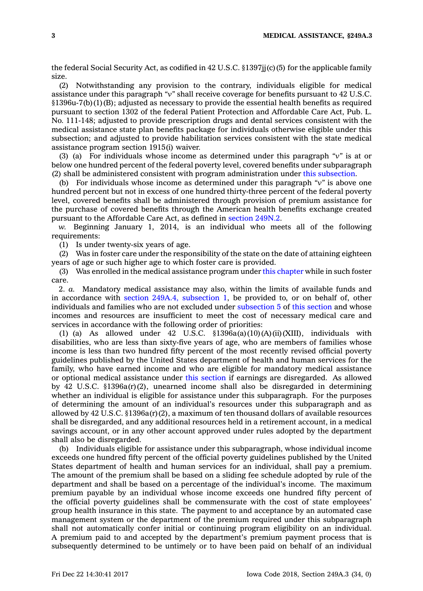the federal Social Security Act, as codified in 42 U.S.C. §1397jj(c)(5) for the applicable family size.

(2) Notwithstanding any provision to the contrary, individuals eligible for medical assistance under this paragraph *"v"* shall receive coverage for benefits pursuant to 42 U.S.C. §1396u-7(b)(1)(B); adjusted as necessary to provide the essential health benefits as required pursuant to section 1302 of the federal Patient Protection and Affordable Care Act, Pub. L. No. 111-148; adjusted to provide prescription drugs and dental services consistent with the medical assistance state plan benefits package for individuals otherwise eligible under this subsection; and adjusted to provide habilitation services consistent with the state medical assistance program section 1915(i) waiver.

(3) (a) For individuals whose income as determined under this paragraph *"v"* is at or below one hundred percent of the federal poverty level, covered benefits under subparagraph (2) shall be administered consistent with program administration under this [subsection](https://www.legis.iowa.gov/docs/code/249A.3.pdf).

(b) For individuals whose income as determined under this paragraph *"v"* is above one hundred percent but not in excess of one hundred thirty-three percent of the federal poverty level, covered benefits shall be administered through provision of premium assistance for the purchase of covered benefits through the American health benefits exchange created pursuant to the Affordable Care Act, as defined in section [249N.2](https://www.legis.iowa.gov/docs/code/249N.2.pdf).

*w.* Beginning January 1, 2014, is an individual who meets all of the following requirements:

(1) Is under twenty-six years of age.

(2) Was in foster care under the responsibility of the state on the date of attaining eighteen years of age or such higher age to which foster care is provided.

(3) Was enrolled in the medical assistance program under this [chapter](https://www.legis.iowa.gov/docs/code//249A.pdf) while in such foster care.

2. *a.* Mandatory medical assistance may also, within the limits of available funds and in accordance with section 249A.4, [subsection](https://www.legis.iowa.gov/docs/code/249A.4.pdf) 1, be provided to, or on behalf of, other individuals and families who are not excluded under [subsection](https://www.legis.iowa.gov/docs/code/249A.3.pdf) 5 of this [section](https://www.legis.iowa.gov/docs/code/249A.3.pdf) and whose incomes and resources are insufficient to meet the cost of necessary medical care and services in accordance with the following order of priorities:

(1) (a) As allowed under 42 U.S.C.  $\S$ 1396a(a)(10)(A)(ii)(XIII), individuals with disabilities, who are less than sixty-five years of age, who are members of families whose income is less than two hundred fifty percent of the most recently revised official poverty guidelines published by the United States department of health and human services for the family, who have earned income and who are eligible for mandatory medical assistance or optional medical assistance under this [section](https://www.legis.iowa.gov/docs/code/249A.3.pdf) if earnings are disregarded. As allowed by 42 U.S.C. §1396a(r)(2), unearned income shall also be disregarded in determining whether an individual is eligible for assistance under this subparagraph. For the purposes of determining the amount of an individual's resources under this subparagraph and as allowed by 42 U.S.C. §1396a(r)(2), <sup>a</sup> maximum of ten thousand dollars of available resources shall be disregarded, and any additional resources held in <sup>a</sup> retirement account, in <sup>a</sup> medical savings account, or in any other account approved under rules adopted by the department shall also be disregarded.

(b) Individuals eligible for assistance under this subparagraph, whose individual income exceeds one hundred fifty percent of the official poverty guidelines published by the United States department of health and human services for an individual, shall pay <sup>a</sup> premium. The amount of the premium shall be based on <sup>a</sup> sliding fee schedule adopted by rule of the department and shall be based on <sup>a</sup> percentage of the individual's income. The maximum premium payable by an individual whose income exceeds one hundred fifty percent of the official poverty guidelines shall be commensurate with the cost of state employees' group health insurance in this state. The payment to and acceptance by an automated case management system or the department of the premium required under this subparagraph shall not automatically confer initial or continuing program eligibility on an individual. A premium paid to and accepted by the department's premium payment process that is subsequently determined to be untimely or to have been paid on behalf of an individual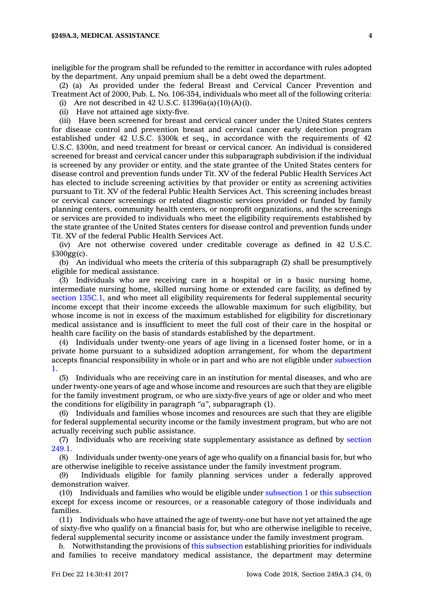ineligible for the program shall be refunded to the remitter in accordance with rules adopted by the department. Any unpaid premium shall be <sup>a</sup> debt owed the department.

(2) (a) As provided under the federal Breast and Cervical Cancer Prevention and Treatment Act of 2000, Pub. L. No. 106-354, individuals who meet all of the following criteria:

(i) Are not described in 42 U.S.C.  $$1396a(a)(10)(A)(i)$ .

(ii) Have not attained age sixty-five.

(iii) Have been screened for breast and cervical cancer under the United States centers for disease control and prevention breast and cervical cancer early detection program established under 42 U.S.C. §300k et seq., in accordance with the requirements of 42 U.S.C. §300n, and need treatment for breast or cervical cancer. An individual is considered screened for breast and cervical cancer under this subparagraph subdivision if the individual is screened by any provider or entity, and the state grantee of the United States centers for disease control and prevention funds under Tit. XV of the federal Public Health Services Act has elected to include screening activities by that provider or entity as screening activities pursuant to Tit. XV of the federal Public Health Services Act. This screening includes breast or cervical cancer screenings or related diagnostic services provided or funded by family planning centers, community health centers, or nonprofit organizations, and the screenings or services are provided to individuals who meet the eligibility requirements established by the state grantee of the United States centers for disease control and prevention funds under Tit. XV of the federal Public Health Services Act.

(iv) Are not otherwise covered under creditable coverage as defined in 42 U.S.C. §300gg(c).

(b) An individual who meets the criteria of this subparagraph (2) shall be presumptively eligible for medical assistance.

(3) Individuals who are receiving care in <sup>a</sup> hospital or in <sup>a</sup> basic nursing home, intermediate nursing home, skilled nursing home or extended care facility, as defined by section [135C.1](https://www.legis.iowa.gov/docs/code/135C.1.pdf), and who meet all eligibility requirements for federal supplemental security income except that their income exceeds the allowable maximum for such eligibility, but whose income is not in excess of the maximum established for eligibility for discretionary medical assistance and is insufficient to meet the full cost of their care in the hospital or health care facility on the basis of standards established by the department.

(4) Individuals under twenty-one years of age living in <sup>a</sup> licensed foster home, or in <sup>a</sup> private home pursuant to <sup>a</sup> subsidized adoption arrangement, for whom the department accepts financial responsibility in whole or in part and who are not eligible under [subsection](https://www.legis.iowa.gov/docs/code/249A.3.pdf) [1](https://www.legis.iowa.gov/docs/code/249A.3.pdf).

(5) Individuals who are receiving care in an institution for mental diseases, and who are under twenty-one years of age and whose income and resources are such that they are eligible for the family investment program, or who are sixty-five years of age or older and who meet the conditions for eligibility in paragraph *"a"*, subparagraph (1).

(6) Individuals and families whose incomes and resources are such that they are eligible for federal supplemental security income or the family investment program, but who are not actually receiving such public assistance.

(7) Individuals who are receiving state supplementary assistance as defined by [section](https://www.legis.iowa.gov/docs/code/249.1.pdf) [249.1](https://www.legis.iowa.gov/docs/code/249.1.pdf).

(8) Individuals under twenty-one years of age who qualify on <sup>a</sup> financial basis for, but who are otherwise ineligible to receive assistance under the family investment program.

(9) Individuals eligible for family planning services under <sup>a</sup> federally approved demonstration waiver.

(10) Individuals and families who would be eligible under [subsection](https://www.legis.iowa.gov/docs/code/249A.3.pdf) 1 or this [subsection](https://www.legis.iowa.gov/docs/code/249A.3.pdf) except for excess income or resources, or <sup>a</sup> reasonable category of those individuals and families.

(11) Individuals who have attained the age of twenty-one but have not yet attained the age of sixty-five who qualify on <sup>a</sup> financial basis for, but who are otherwise ineligible to receive, federal supplemental security income or assistance under the family investment program.

*b.* Notwithstanding the provisions of this [subsection](https://www.legis.iowa.gov/docs/code/249A.3.pdf) establishing priorities for individuals and families to receive mandatory medical assistance, the department may determine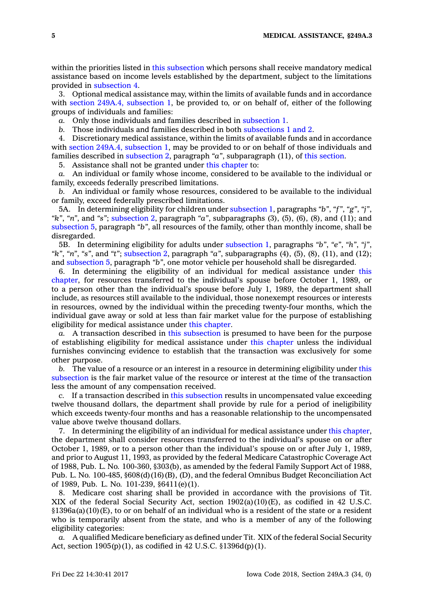within the priorities listed in this [subsection](https://www.legis.iowa.gov/docs/code/249A.3.pdf) which persons shall receive mandatory medical assistance based on income levels established by the department, subject to the limitations provided in [subsection](https://www.legis.iowa.gov/docs/code/249A.3.pdf) 4.

3. Optional medical assistance may, within the limits of available funds and in accordance with section 249A.4, [subsection](https://www.legis.iowa.gov/docs/code/249A.4.pdf) 1, be provided to, or on behalf of, either of the following groups of individuals and families:

*a.* Only those individuals and families described in [subsection](https://www.legis.iowa.gov/docs/code/249A.3.pdf) 1.

*b.* Those individuals and families described in both [subsections](https://www.legis.iowa.gov/docs/code/249A.3.pdf) 1 and 2.

4. Discretionary medical assistance, within the limits of available funds and in accordance with section 249A.4, [subsection](https://www.legis.iowa.gov/docs/code/249A.4.pdf) 1, may be provided to or on behalf of those individuals and families described in [subsection](https://www.legis.iowa.gov/docs/code/249A.3.pdf) 2, paragraph *"a"*, subparagraph (11), of this [section](https://www.legis.iowa.gov/docs/code/249A.3.pdf).

5. Assistance shall not be granted under this [chapter](https://www.legis.iowa.gov/docs/code//249A.pdf) to:

*a.* An individual or family whose income, considered to be available to the individual or family, exceeds federally prescribed limitations.

*b.* An individual or family whose resources, considered to be available to the individual or family, exceed federally prescribed limitations.

5A. In determining eligibility for children under [subsection](https://www.legis.iowa.gov/docs/code/249A.3.pdf) 1, paragraphs *"b"*, *"f"*, *"g"*, *"j"*, *"k"*, *"n"*, and *"s"*; [subsection](https://www.legis.iowa.gov/docs/code/249A.3.pdf) 2, paragraph *"a"*, subparagraphs (3), (5), (6), (8), and (11); and [subsection](https://www.legis.iowa.gov/docs/code/249A.3.pdf) 5, paragraph *"b"*, all resources of the family, other than monthly income, shall be disregarded.

5B. In determining eligibility for adults under [subsection](https://www.legis.iowa.gov/docs/code/249A.3.pdf) 1, paragraphs *"b"*, *"e"*, *"h"*, *"j"*, *"k"*, *"n"*, *"s"*, and *"t"*; [subsection](https://www.legis.iowa.gov/docs/code/249A.3.pdf) 2, paragraph *"a"*, subparagraphs (4), (5), (8), (11), and (12); and [subsection](https://www.legis.iowa.gov/docs/code/249A.3.pdf) 5, paragraph *"b"*, one motor vehicle per household shall be disregarded.

6. In determining the eligibility of an individual for medical assistance under [this](https://www.legis.iowa.gov/docs/code//249A.pdf) [chapter](https://www.legis.iowa.gov/docs/code//249A.pdf), for resources transferred to the individual's spouse before October 1, 1989, or to <sup>a</sup> person other than the individual's spouse before July 1, 1989, the department shall include, as resources still available to the individual, those nonexempt resources or interests in resources, owned by the individual within the preceding twenty-four months, which the individual gave away or sold at less than fair market value for the purpose of establishing eligibility for medical assistance under this [chapter](https://www.legis.iowa.gov/docs/code//249A.pdf).

*a.* A transaction described in this [subsection](https://www.legis.iowa.gov/docs/code/249A.3.pdf) is presumed to have been for the purpose of establishing eligibility for medical assistance under this [chapter](https://www.legis.iowa.gov/docs/code//249A.pdf) unless the individual furnishes convincing evidence to establish that the transaction was exclusively for some other purpose.

*b.* The value of <sup>a</sup> resource or an interest in <sup>a</sup> resource in determining eligibility under [this](https://www.legis.iowa.gov/docs/code/249A.3.pdf) [subsection](https://www.legis.iowa.gov/docs/code/249A.3.pdf) is the fair market value of the resource or interest at the time of the transaction less the amount of any compensation received.

*c.* If <sup>a</sup> transaction described in this [subsection](https://www.legis.iowa.gov/docs/code/249A.3.pdf) results in uncompensated value exceeding twelve thousand dollars, the department shall provide by rule for <sup>a</sup> period of ineligibility which exceeds twenty-four months and has <sup>a</sup> reasonable relationship to the uncompensated value above twelve thousand dollars.

7. In determining the eligibility of an individual for medical assistance under this [chapter](https://www.legis.iowa.gov/docs/code//249A.pdf), the department shall consider resources transferred to the individual's spouse on or after October 1, 1989, or to <sup>a</sup> person other than the individual's spouse on or after July 1, 1989, and prior to August 11, 1993, as provided by the federal Medicare Catastrophic Coverage Act of 1988, Pub. L. No. 100-360, §303(b), as amended by the federal Family Support Act of 1988, Pub. L. No. 100-485, §608(d)(16)(B), (D), and the federal Omnibus Budget Reconciliation Act of 1989, Pub. L. No. 101-239, §6411(e)(1).

8. Medicare cost sharing shall be provided in accordance with the provisions of Tit. XIX of the federal Social Security Act, section 1902(a)(10)(E), as codified in 42 U.S.C. §1396a(a)(10)(E), to or on behalf of an individual who is <sup>a</sup> resident of the state or <sup>a</sup> resident who is temporarily absent from the state, and who is <sup>a</sup> member of any of the following eligibility categories:

*a.* A qualified Medicare beneficiary as defined under Tit. XIX of the federal Social Security Act, section 1905(p)(1), as codified in 42 U.S.C. §1396d(p)(1).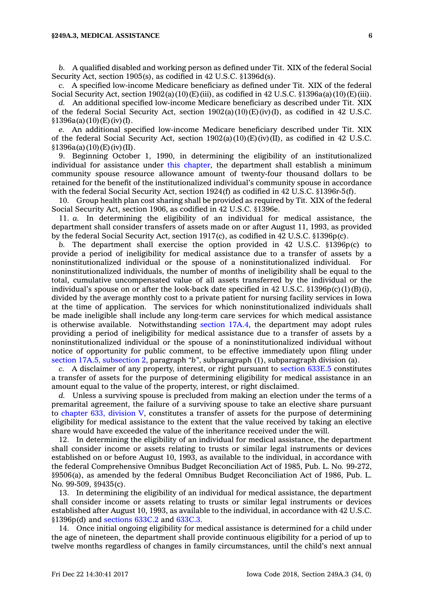## **§249A.3, MEDICAL ASSISTANCE 6**

*b.* A qualified disabled and working person as defined under Tit. XIX of the federal Social Security Act, section 1905(s), as codified in 42 U.S.C. §1396d(s).

*c.* A specified low-income Medicare beneficiary as defined under Tit. XIX of the federal Social Security Act, section  $1902(a)(10)(E)$ (iii), as codified in 42 U.S.C. §1396a(a)(10)(E)(iii).

*d.* An additional specified low-income Medicare beneficiary as described under Tit. XIX of the federal Social Security Act, section  $1902(a)(10)(E)(iv)(I)$ , as codified in 42 U.S.C.  $§1396a(a)(10)(E)(iv)(I).$ 

*e.* An additional specified low-income Medicare beneficiary described under Tit. XIX of the federal Social Security Act, section  $1902(a)(10)(E)(iv)(II)$ , as codified in 42 U.S.C.  $§1396a(a)(10)$ (E)(iv)(II).

9. Beginning October 1, 1990, in determining the eligibility of an institutionalized individual for assistance under this [chapter](https://www.legis.iowa.gov/docs/code//249A.pdf), the department shall establish <sup>a</sup> minimum community spouse resource allowance amount of twenty-four thousand dollars to be retained for the benefit of the institutionalized individual's community spouse in accordance with the federal Social Security Act, section 1924(f) as codified in 42 U.S.C. §1396r-5(f).

10. Group health plan cost sharing shall be provided as required by Tit. XIX of the federal Social Security Act, section 1906, as codified in 42 U.S.C. §1396e.

11. *a.* In determining the eligibility of an individual for medical assistance, the department shall consider transfers of assets made on or after August 11, 1993, as provided by the federal Social Security Act, section 1917(c), as codified in 42 U.S.C. §1396p(c).

*b.* The department shall exercise the option provided in 42 U.S.C. §1396p(c) to provide <sup>a</sup> period of ineligibility for medical assistance due to <sup>a</sup> transfer of assets by <sup>a</sup> noninstitutionalized individual or the spouse of <sup>a</sup> noninstitutionalized individual. For noninstitutionalized individuals, the number of months of ineligibility shall be equal to the total, cumulative uncompensated value of all assets transferred by the individual or the individual's spouse on or after the look-back date specified in 42 U.S.C.  $\S 1396p(c)(1)(B)(i)$ , divided by the average monthly cost to <sup>a</sup> private patient for nursing facility services in Iowa at the time of application. The services for which noninstitutionalized individuals shall be made ineligible shall include any long-term care services for which medical assistance is otherwise available. Notwithstanding [section](https://www.legis.iowa.gov/docs/code/17A.4.pdf) 17A.4, the department may adopt rules providing <sup>a</sup> period of ineligibility for medical assistance due to <sup>a</sup> transfer of assets by <sup>a</sup> noninstitutionalized individual or the spouse of <sup>a</sup> noninstitutionalized individual without notice of opportunity for public comment, to be effective immediately upon filing under section 17A.5, [subsection](https://www.legis.iowa.gov/docs/code/17A.5.pdf) 2, paragraph *"b"*, subparagraph (1), subparagraph division (a).

*c.* A disclaimer of any property, interest, or right pursuant to [section](https://www.legis.iowa.gov/docs/code/633E.5.pdf) 633E.5 constitutes <sup>a</sup> transfer of assets for the purpose of determining eligibility for medical assistance in an amount equal to the value of the property, interest, or right disclaimed.

*d.* Unless <sup>a</sup> surviving spouse is precluded from making an election under the terms of <sup>a</sup> premarital agreement, the failure of <sup>a</sup> surviving spouse to take an elective share pursuant to [chapter](https://www.legis.iowa.gov/docs/code//633.pdf) 633, division V, constitutes <sup>a</sup> transfer of assets for the purpose of determining eligibility for medical assistance to the extent that the value received by taking an elective share would have exceeded the value of the inheritance received under the will.

12. In determining the eligibility of an individual for medical assistance, the department shall consider income or assets relating to trusts or similar legal instruments or devices established on or before August 10, 1993, as available to the individual, in accordance with the federal Comprehensive Omnibus Budget Reconciliation Act of 1985, Pub. L. No. 99-272, §9506(a), as amended by the federal Omnibus Budget Reconciliation Act of 1986, Pub. L. No. 99-509, §9435(c).

13. In determining the eligibility of an individual for medical assistance, the department shall consider income or assets relating to trusts or similar legal instruments or devices established after August 10, 1993, as available to the individual, in accordance with 42 U.S.C. §1396p(d) and [sections](https://www.legis.iowa.gov/docs/code/633C.2.pdf) 633C.2 and [633C.3](https://www.legis.iowa.gov/docs/code/633C.3.pdf).

14. Once initial ongoing eligibility for medical assistance is determined for <sup>a</sup> child under the age of nineteen, the department shall provide continuous eligibility for <sup>a</sup> period of up to twelve months regardless of changes in family circumstances, until the child's next annual